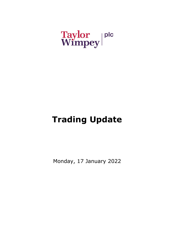# Taylor plc<br>Wimpey

# **Trading Update**

Monday, 17 January 2022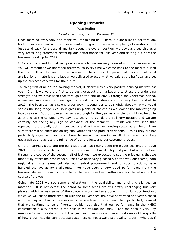# **Opening Remarks**

#### Pete Redfern

# *Chief Executive, Taylor Wimpey Plc*

Good morning everybody and thank you for joining us. There is quite a lot to get through, both in our statement and I am sure plenty going on in the sector so plenty of questions. If I just stand back for a second and talk about the overall position, we obviously see this as a very reassuring statement restating our performance for last year and setting out how the business is set up for 2022.

If I stand back and look at last year as a whole, we are very pleased with the performance. You will remember we upgraded pretty much every time we came back to the market during the first half of the year. Then against quite a difficult operational backdrop of build availability on materials and labour we delivered exactly what we said at the half year and set up the business very well for the future.

Touching first of all on the housing market, it clearly was a very positive housing market last year. I think we were the first to be positive about the market and to stress the underlying strength and we have seen that through to the end of 2021, through the Christmas period, where we have seen continued good interest from customers and a very healthy start to 2022. The business has a strong order book. It continues to be slightly above what we would see as the long-range level so it gives us plenty of choices as we look at the market going into this year. But, our overall sense is although for the year as a whole it might not be quite as strong as the conditions we saw last year, the signals are still very positive and we are certainly not seeing any sign of weakness at the moment. I think you have seen that reported more broadly both in our sector and in the wider housing sector as a whole. I am sure there will be questions on regional variations and product variations. I think they are not particularly significant, so we continue to see a good market in all of our main operating geographies and across the full range of our products and our customer groups.

On the materials side, and the build side that has clearly been the bigger challenge through 2021 for the whole of the sector. Particularly material availability and price but as we set out through the course of the second half of last year, we expected to see the price gains that we made fully offset the cost impact. We have been very pleased with the way our teams, both regional and site teams but also our central procurement and logistics functions, have handled the availability challenges. We have seen a very good performance from the business delivering exactly the volume that we have been setting out for the whole of the course of the year.

Going into 2022 we see some amelioration in the availability and pricing challenges on materials. It is not across the board so some areas are still pretty challenging but very pleased with the way some of the strategic work we have done with our logistics function, which we will spend more time on with the full year results, have performed and very pleased with the way our teams have worked at a site level. Set against that, particularly pleased that we continue to be a five-star builder but also that our performance in the NHBC construction quality scores is the best in the volume industry. That has been a very key measure for us. We do not think that just customer surveys give a good sense of the quality of how a business delivers because customers cannot always see quality issues. Whereas if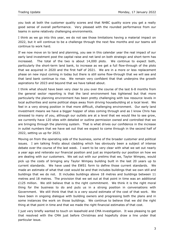you look at both the customer quality scores and that NHBC quality score you get a really good sense of overall performance. Very pleased with the rounded performance from our teams in some relatively challenging environments.

I think as we go into this year, we do not see those limitations having a material impact on 2022, but it will continue to be a challenge through the next few months and our teams will continue to work hard.

If we now move on to land and planning, you see in this calendar year the real impact of our early land investment post the capital raise and net land on both strategic and short-term has increased. The total of the two is about 14,000 plots. We continue to expect both, particularly the short-term land bank, to increase as we get a full flow-through of the plots that we acquired in 2020 and the first half of 2021. We are in a more or less replacement phase on new input coming in today but there is still some flow-through that we will see and that land bank continue to rise. We remain very confident that that underpins the growth aspirations for 2023 and beyond that we have talked about.

I think what should have been very clear to you over the course of the last 6-8 months from the general sector reporting is that the land environment has tightened but that more particularly the planning environment has been pretty challenging with low resource levels in local authorities and some political steps away from driving housebuilding at a local level. We feel in a very strong position in that more difficult, challenging environment. Our early land investment means we have a bigger hopper of sites coming through and as I know Chris has stressed to many of you, although our outlets are at a level that we would like to see grow, we currently have 120 sites with detailed or outline permission owned and controlled that we are bringing through the planning system. That is what drives our confidence in the increase in outlet numbers that we have set out that we expect to come through in the second half of 2022, setting us up for 2023.

Moving on from the operating side of the business, some of the broader customer and political issues. I am talking firstly about cladding which has obviously been a subject of intense debate over the course of the last week. I want to be very clear with what we set out nearly a year ago and reiterate our financial position and just as importantly our position on how we are dealing with our customers. We set out with our prelims that we, Taylor Wimpey, would pick up the costs of bringing any Taylor Wimpey building built in the last 20 years up to current standards. We have used the EWS1 form to define those current standards. We made an estimate of what that cost would be and that includes buildings that we own still and buildings that we do not. It includes buildings above 18 metres and buildings between 11 metres and 18 metres. The provision that we set out at that point in time was an additional  $£125$  million. We still believe that is the right commitment. We think it is the right moral thing for the business to do and puts us in a strong position in conversations with Government. We still think that that is a very sound estimate of the cost of that work. We have been in ongoing dialogue with building owners and progressing both the plans and in some instances the work on those buildings. We continue to believe that we did the right thing at that point in time and that we made the right financial estimates of that cost.

I just very briefly wanted to touch on leasehold and CMA investigation. It was pleasing to get that resolved with the CMA just before Christmas and hopefully draw a line under that particular issue.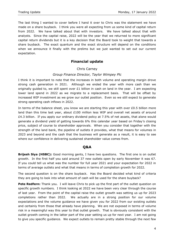The last thing I wanted to cover before I hand it over to Chris was the statement we have made on a share buyback. I think you were all expecting from us some kind of capital return from 2022. We have talked about that with investors. We have talked about that with analysts. Since the capital raise, 2022 will be the year that we returned to more significant capital return dividends but it is a key decision that the Board took to weight that towards a share buyback. The exact quantum and the exact structure will depend on the conditions when we announce it finally with the prelims but we just wanted to set out our current expectation.

# **Financial update**

## Chris Carney

### *Group Finance Director, Taylor Wimpey Plc*

I think it is important to note that the increases in both volume and operating margin drove strong cash generation in 2021. Although we ended the year with more cash than we originally guided to, we still spent over £1 billion in cash on land in the year. I am expecting lower land spend in 2022 as we migrate to a replacement basis. That will be offset by increased WIP investment as we grow our outlet position. Even so we still expect to generate strong operating cash inflows in 2022.

In terms of the balance sheet, you know we are starting this year with over  $£0.5$  billion more land than this time last year, about £100 million less WIP and overall net assets of around £4.3 billion. If you apply our ordinary dividend policy at 7.5% of net assets, that alone would generate a dividend yield of getting towards 6% this calendar year based on Friday's closing price, subject of course to shareholder approvals. When you consider that together with the strength of the land bank, the pipeline of outlets it provides, what that means for volumes in 2023 and beyond and the cash that the business will generate as a result, it is easy to see where our confidence in delivering sustained shareholder value comes from.

# **Q&A**

**Brijesh Siya (HSBC):** Good morning gents, I have two questions. The first one is on outlet growth. In the first half you said around 37 new outlets open by early November it was 67. If you could tell us what was the number for full year 2021 and your expectation for 2022 in terms of average outlets and what that means in terms of completion growth for 2022.

The second question is on the share buyback. Has the Board decided what kind of criteria they are going to look into what amount of cash will be used for the share buyback?

**Pete Redfern:** Thank you. I will leave Chris to pick up the first part of the outlet question on specific growth numbers. I think looking at 2022 we have been very clear through the course of last year. From the point of the capital raise the outlet growth was setting us up for 2023 completions rather than 2022. We actually are in a strong position for our volume expectations and the volume guidance we have given you for 2022 from our existing outlets and certainly from those that already have planning. We are not exposed in terms of volume risk in a meaningful way this year to that outlet growth. That is obviously consistent with the outlet growth coming in the latter part of the year setting us up for next year. I am not going to give you specific guidance. We expect outlets to remain pretty stable through the next few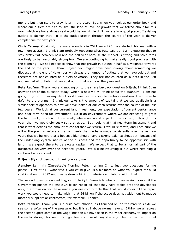months but then start to grow later in the year. But, when you look at our order book and where our outlets are site by site, the kind of level of growth that we talked about for this year, which we have always said would be low single digit, we are in a good place off existing outlets to deliver that. It is the outlet growth through the course of the year to deliver completions for next year.

**Chris Carney:** Obviously the average outlets in 2021 were 225. We started this year with a few more at 228. I think I am probably repeating what Pete said but I am expecting that to stay pretty flat between now and the half year because the market is strong and sales rates are likely to be reasonably strong too. We are continuing to make really good progress with the planning. We still expect to show that net growth in outlets in half two, weighted towards the end of the year. I think Brijesh you might have been asking about something we disclosed at the end of November which was the number of outlets that we have sold out and therefore are not counted as outlets anymore. They are not counted as outlets in the 228 and we had 42 outlets that are sold out in that status at the year-end.

**Pete Redfern:** Thank you and moving on to the share buyback question Brijesh, I think I can answer part of the question today, which is how we will think about the quantum. I am not going to go into it in any detail so if there are any supplementary questions I will have to defer to the prelims. I think our take is the amount of capital that we see available is a similar sort of approach to how we have looked at our cash returns over the course of the last few years. We look at our current land investment, our expectation of current performance and near-term need for investment. So in an environment where we are expecting to grow the land bank, which is not materially where we would expect to be as we go through this year, then we would obviously set that aside. But, looking at that near-term investment and that is what defines the amount of capital that we return. I would reiterate, and I am sure we will at the prelims, reiterate the comments that we have made consistently over the last few years that we believe that a housebuilder should have a strong balance sheet both because of the underlying cyclical nature of the business and the opportunity to be opportunistic with land. We expect there to be excess capital. We expect that to be a normal part of the business's delivery over the next few years. We will be returning it but whilst retaining a cautious balance sheet.

**Brijesh Siya:** Understood, thank you very much.

**Aynsley Lammin (Investec):** Morning Pete, morning Chris, just two questions for me please. First of all I wondered if you could give us a bit more on what you expect for build cost inflation for 2022 and maybe draw a bit into materials and labour within that.

The second question on cladding, can I clarify? Essentially what you are saying is even if the Government pushes the whole £4 billion repair bill that they have tabled onto the developers only, the provision you have made you are comfortable that that would cover all the repair work you would need to make within that  $E4$  billion if the scope does not widen out to maybe material suppliers or contractors, for example. Thanks.

**Pete Redfern:** Thank you. On build cost inflation, as I touched on, on the materials side we see some softening of the pressure, but it is still above normal levels. I think we all across the sector expect some of the wage inflation we have seen in the wider economy to impact on the sector during this year. Our gut feel and I would say it is a gut feel rather than formal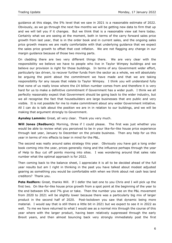guidance at this stage, the 5% level that we saw in 2021 is a reasonable estimate of 2022. Obviously, as we go through the next few months we will be getting new data to firm that up and we will tell you if it changes. But we think that is a reasonable view sat here today. Certainly what we are seeing at the moment, both in terms of the carry forward sales price growth from last year, that is in the order book and in current sales, and the ongoing sales price growth means we are really comfortable with that underlying guidance that we expect the sales price growth to offset that cost inflation. We are not flagging any change in our margin guidance because of those two moving parts.

On cladding there are two very different things there. We are very clear with the responsibility we believe we have to people who live in Taylor Wimpey buildings and we believe our provision is right for those buildings. In terms of any Government wider effort, particularly tax driven, to recover further funds from the sector as a whole, we will absolutely be arguing the point about the commitment we have made and that we are taking responsibility for any issues that relate to Taylor Wimpey. I think you will understand fully that none of us really know where the  $E4$  billion number comes from and therefore it is very hard for us to make a definitive commitment if Government has a wider push. I think we all perfectly reasonably expect that Government should be going back to the wider industry, but we all recognise the fact that housebuilders are large businesses that are public and very visible. It is not possible for me to make commitment about any wider Government initiative. All I can do is talk about the position we are in in relation to our buildings, and we will be making that argument strongly to Government.

**Aynsley Lammin:** Great, all very clear. Thank you very much.

**Will Jones (Redburn):** Morning, three if I could please. The first was just whether you would be able to review what you perceived to be in your like-for-like house price experience through last year, January to December on the private business. Then any help for us this year in terms of mix effects to bear in mind for the P&L.

The second was really around sales strategy this year. Obviously you have got a long order book coming into the year, prices generally rising and the influence perhaps through the year of Help to Buy cut off points moving into sites. I was wondering around that sales rate number what the optimal approach is for 2022.

Then coming back to the balance sheet, I appreciate it is all to be decided ahead of the full year results but am I right in thinking in the past you have talked about modest adjusted gearing as something you would be comfortable with when we think about net cash less land creditors? Thank you.

Pete Redfern: Great, thanks Will. If I defer the last one to you Chris and I will pick up the first two. On like-for-like house price growth from a spot point at the beginning of the year to the end between 6% and 7% give or take. Then the number you see on the P&L movement from 2020 to 2021 will be slightly lower because there was a particularly big mix of larger product in the second half of 2020. Post-lockdown you saw that dynamic being more material. I would say that is still there a little bit in 2021 but we expect to see it in 2022 as well. To me we have returned to what I would see as a normal mix through the course of this year where with the larger product, having been relatively suppressed through the early Brexit years, and then almost bouncing back very strongly immediately post the first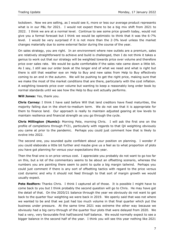lockdown. Now we are selling, as I would see it, more or less our average product represents what is in our P&L for 2021. I would not expect there to be a big mix shift from 2021 to 2022. I think we are at a normal level. Continue to see some price growth today, would not give you a formal forecast but I think we would be optimistic to think that it was the 6-7% level. I would be very surprised if it is not more than the 2-3% level unless the market changes materially due to some external factor during the course of the year.

On sales strategy, you are right. In an environment where new outlets are a premium, sales are relatively straightforward to achieve and build is challenged, then I do not think it takes a genius to work out that our strategy will be weighted towards price over volume and therefore price over sales rate. We would be quite comfortable if the sales rate came down a little bit. As I say, I still see our order book at the longer end of what we need and what is right but there is still that weather eye on Help to Buy and new sales from Help to Buy effectively coming to an end in the autumn. We will be pushing to get the right price, making sure that we make the most of the market conditions that are there, particularly with the cost inflation. A weighting towards price over volume but wanting to keep a reasonably long order book by normal standards until we see how the Help to Buy exit actually performs.

**Will Jones:** Yes, thank you.

**Chris Carney:** I think I have said before Will that land creditors have fixed maturities, the majority falling due in the short-to-medium term. We do not see that it is appropriate for them to finance land. Our approach is really to maintain adjusted gearing at low levels to maintain resilience and financial strength as you go through the cycle.

**Chris Millington (Numis):** Morning Pete, morning Chris. I will ask the first one on the profile of completions through FY21, particularly with regards to that Q4 weighting obviously you came at prior to the pandemic. Perhaps you could just comment how that is likely to evolve into 2022.

The second one, you sounded quite confident about your position on planning. I wonder if you could elaborate a little bit further and maybe give us a feel as to what proportion of plots you have got planning for versus your expectations this year.

Then the final one is on price versus cost. I appreciate you probably do not want to go too far on this, but a lot of the commentary seems to be about an offsetting scenario, whereas the numbers you are painting there seem to point to quite a big margin tailwind. Perhaps you could just comment if there is any sort of offsetting tactics with regard to the price versus cost dynamic and why it should not feed through to that sort of margin growth we would usually expect.

**Pete Redfern:** Thanks Chris. I think I captured all of those. It is possible I might have to come back to you but I think probably the second question will go to Chris. He may have got the detail of that. On the 2020/21 balance through the year we obviously do not want to get back to the quarter four weighting we were back in 2019. We openly said that was not where we wanted to be and that we just had too much volume in that final quarter which put the business under pressure. At the same time 2021 was extreme the other way because we obviously had a big carry-through of the quarter four plots that were delayed from 2020. We had a very, very favourable first half/second half balance. We would normally expect to see a bigger balance in the second half of the year. I think you will see this year nothing like 2021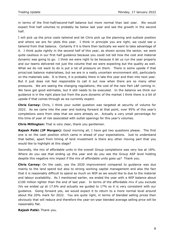in terms of the first-half/second-half balance but more normal than last year. We would expect first half volumes to probably be below last year and see the growth in the second half.

I will pick up the price costs tailwind and let Chris pick up the planning and outlook position and where we are for plots this year. I think in principle you are right, we could see a tailwind from that balance. Certainly if it is there then tactically we want to take advantage of it. I think quite rightly in the second half of this year, as shown across the sector, we were quite cautious in our first half guidance because you could not tell how the cost and material dynamic was going to go. I think we were right to be because it let us run the year properly and our teams delivered not just the volume that we were expecting but the quality as well. What we do not want to do is put a lot of pressure on them. There is some upside if that price/cost balance materialises, but we are in a really uncertain environment still, particularly on the materials side. It is there, it is probably there in late this year and then into next year. But it just does not feel responsible to call it out now when there are so many other pressures. We are seeing the changing regulations; the cost of the new Part L&F coming in. We have got good estimates, but it still needs to be executed. In the balance we think our guidance is in the right place but from the pure dynamic of the market I think there is a bit of upside if that comes through as we currently expect.

**Chris Carney:** Chris, I think your outlet question was targeted at security of volume for 2022. As we came into the year and looking forward at that point, over 95% of this year's completions were from sites that we were already on. Actually a very small percentage for this time of year of risk associated with outlet openings for this year's volumes.

**Chris Millington:** That is very clear, thank you gentlemen.

**Rajesh Patki (JP Morgan):** Good morning all, I have got two questions please. The first one is on the cash position which came in ahead of your expectations. Just to understand that better, apart from timing of land investment is there any other moving part that you would like to highlight at this stage?

Secondly, the mix of affordable units in the overall Group completions was very low at 18%. Where do you see that ending up this year and do you see the Group ASP level holding despite this negative mix impact if the mix of affordable units goes up? Thank you.

**Chris Carney:** On the cash, yes the 2020 improvement compared to guidance was due mainly to the land spend but also to strong working capital management and also the fact that it is reasonably difficult to spend as much on WIP as we would like to due to the material and labour availability. As I mentioned earlier, we ended the year with a WIP balance about £100 million lighter than the end of last year. In terms of the affordable mix if you exclude JVs we ended up at 17.6% and actually we guided to 17% so it is very consistent with our guidance. Going forward yes, we would expect it to return to a more normal level around about the 20% mark for 2022. You are quite right, in terms of blended selling prices then obviously that will reduce and therefore the year-on-year blended average selling price will be reasonably flat.

**Rajesh Patki:** Thank you.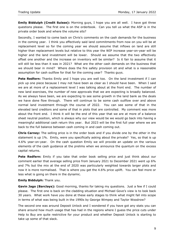**Emily Biddulph (Credit Suisse):** Morning guys, I hope you are all well. I have got three questions please. The first one is on the orderbook. Can you tell us what the ASP is in the private order book and where the volume sits?

Secondly, I wanted to come back on Chris's comments on the cash demands for the business in the coming year. I think you effectively said land commitments from now on you will be at replacement level so for the coming year we should assume that inflows on land are still higher than replacement levels but relative to this year the WIP increase year-on-year will be higher and the land investment will be lower. Should we assume that the two effectively offset one another and the increase on inventory will be similar? Is it fair to assume that it will still be less than it was in 2021? What are the other cash demands on the business that we should bear in mind? Where does the fire safety provision sit and what is a reasonable assumption for cash outflow for that for the coming year? Thanks guys.

**Pete Redfern:** Thanks Emily and I hope you are well too. On the land investment if I can pick up one piece because I may not have been as clear as I should have been. When I said we are at more of a replacement level I was talking about at the front end. The number of new land exercises, the number of new approvals that we are expecting is broadly balanced. As we always have been, we are expecting to see some growth in the land bank as the deals we have done flow through. There will continue to be some cash outflow over and above normal land investment through the course of 2022. You can see some of that in the elevated land creditors and some of that in plots that are controlled. My comment was more about the front end. I think it will be the end of this year that we are at more of a balance sheet neutral position, which is always why our view would be we would go back into having a meaningful additional cash return this year. But 2023 will be the first full year where we are back to the full balance between cash coming in and cash coming out.

**Chris Carney:** The selling price is in the order book and if you divide one by the other in the statement is up 1%. Emily, were you specifically asking about the private? Yes, so that is up 4.6% year-on-year. On the cash question Emily we will provide an update on the various elements of the cash guidance at the prelims when we announce the quantum on the excess capital returns.

**Pete Redfern:** Emily if you take that order book selling price and just think about our comment earlier that average selling price from January 2021 to December 2021 went up 6% and 7% but the mix at the end of 2020 was particularly weighted towards larger plots and now it is more normalised. That is where you get the 4.6% price uplift. You can feel more or less what is going on there in the dynamic.

### **Emily Biddulph:** Thank you.

**Gavin Jago (Barclays):** Good morning, thanks for taking my questions. Just a few if I could please. The first one is back on the cladding situation and Michael Gove's view is to look back 30 years. What work have you done at these early stages to think what might fall into scope in terms of what was being built in the 1990s by George Wimpey and Taylor Woodrow?

The second one was around Deposit Unlock and I wondered if you have got any stats you can share around how much usage that has had in the regions where I guess the price cuts under Help to Buy are quite restrictive for your product and whether Deposit Unlock is starting to take up some of that slack.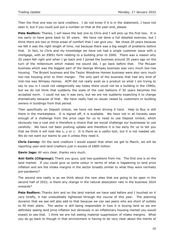Then the final one was on land creditors. I do not know if it is in the statement, I have not seen it, but if you could just put a number on that at the year-end, please.

**Pete Redfern:** Thanks, I will leave the last one to Chris and I will pick up the first two. It is too early to have gone back to 30 years. We have not done a full detailed exercise, but I think there are two or three areas of comfort that I can give you. We chose 20 years because we felt it was the right length of time, not because there was a big weight of problems before that. In fact, to Chris and my knowledge we have not had a single customer issue with a mortgage, with an EWS1 form relating to a building prior to 2000. There was a reason why 20 years felt right and when I go back and I joined the business around 20 years ago on the turn of the millennium which makes me sound old, I go back before that. The McLean business which was the biggest part of the George Wimpey business was very much low-rise housing. The Bryant business and the Taylor Woodrow Homes business were also very much low-rise housing prior to their merger. The only part of the business that had any kind of mid-rise was Wimpey Homes. ACM did not really exist as a product so what I am trying to say to you is I could not categorically say today there could not be a building in the 1990s, but we do not think that suddenly the scale of the cost balloons if 30 years becomes the accepted norm. I could not say it was zero, but we are not suddenly expecting it to change dramatically because of that. We have really had no issues raised by customers or building owners in buildings from that period.

Then specifically on Deposit Unlock, we have not been driving it hard. Help to Buy is still there in the marketplace. It is signed off, it is available. We have not in all honesty seen enough of a challenge from the price caps for us to need to use Deposit Unlock, which obviously has a cost and is therefore a choice that we would challenge our businesses to use carefully. We have not been pushing uptake and therefore it is too early for us to tell you that we think it will look like x, y or z. It is there as a useful tool, but it is not needed yet. We do not want our teams to use it unless they need it.

**Chris Carney:** On the land creditors I would expect that when we get to March, we will be reporting year-end land creditors just in excess of £800 million.

**Gavin Jago:** All very clear, thanks very much.

**Ami Galla (Citigroup):** Thank you guys, just two questions from me. The first one is on the land market. If you could give us some colour in terms of what is happening to land price inflation and are the intake margins in the sector broadly similar to what they were normally pre-pandemic?

The second one really is as we think about the new sites that are going to be open in the second half of 2022, is there any change in the natural absorption rate in the business 2024 onwards?

**Pete Redfern:** Thanks Ami and on the land market we have said before and I touched on it very briefly, it has undoubtedly tightened through the course of this year. The planning dynamic that we see will also add to that because we can see peers who are short of outlets to fill their plans. The sector is still being responsible in how it is buying land so we are definitely seeing land price inflation but obviously in an inflationary housing market you would expect to see that. I think we are not seeing material suppression of intake margins. What you do go back to though in that environment is having to be very clear about the merits of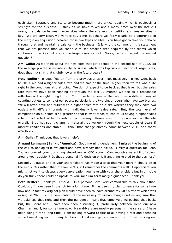each site. Strategic land starts to become much more critical again, which is obviously a strength for the business. I think as we have talked about many times over the last 2-3 years, the balance between larger sites where there is less competition and smaller sites is key. We are very clear, we want to buy a mix but there will fairly clearly be a differential in the margin on acquisition between those two types of sites. You have got to take your choice through that and maintain a balance in the business. It is why the comment in the statement that we are pleased that we continue to see smaller sites acquired by the teams which continues to be key but also some larger ones as well. Sorry, can you repeat the second question?

**Ami Galla:** As we think about the new sites that get opened in the second half of 2022, do the average private sales rate in the business, which was typically a function of larger sites, does that mix shift that slightly lower in the future years?

**Pete Redfern:** It does flow on from the previous answer. Not massively. If you went back to 2019, we had a higher sales rate and we said at the time, higher than we felt was quite right in the conditions at that point. We do not expect to be back at that level, but the sales rate that we have been running at through the last 12 months we see as a reasonable reflection of the right thing to do. You have to remember that we have a different way of counting outlets to some of our peers, particularly the two bigger peers who have two brands. We will often have one outlet with a higher sales rate on a site whereas they may have two outlets with different brands with individually lower sales rate. But, the total level of competition on our sites is no greater so that is what tends to lead to us having a higher sales rate. It is the lack of two brands rather than any different view on the pace you run the site overall. I do not see it changing materially as we go through the next couple of years if market conditions are stable. I think that change already came between 2019 and today effectively.

**Ami Galla:** Thank you, that is very helpful.

**Arnaud Lehmann (Bank of America):** Good morning gentlemen. I missed the beginning of the call so apologies if my questions have already been asked. Firstly a question for Pete. You announced your upcoming step-down as CEO soon. Can you give us a bit of colour around your decision? Is that a personal life decision or is it anything related to the business?

Secondly, I guess one of your shareholders has made a case that your margin should be in the mid-20%s rather than the low-20%s, if I remember the comments well. I appreciate you might not want to discuss every conversation you have with your shareholders but in principle do you think there could be upside to your medium-term margin guidance? Thank you.

**Pete Redfern:** Thank you Arnaud. On a personal level very comfortable to talk about that. Obviously I have been in the job for a long time. It has been my plan to leave for some time now and in fact my original plan would have been to leave around my 50<sup>th</sup> birthday which was in August 2020. But, a combination of the necessary Chairman change and making sure that we balanced that right and then the pandemic meant that effectively we pushed that back. But, the Board and I have then been discussing it, particularly between Irene our new Chairman and I, for some time now. Main drivers are mostly personal in the sense of I have been doing it for a long time. I am looking forward to first of all having a rest and spending some time doing far too many hobbies that I do not get a chance to do. Then working out